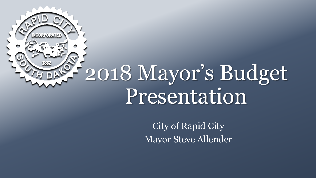

City of Rapid City Mayor Steve Allender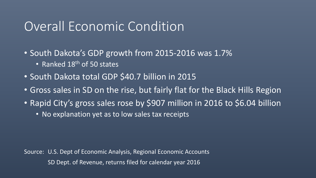#### Overall Economic Condition

• South Dakota's GDP growth from 2015-2016 was 1.7%

- Ranked 18<sup>th</sup> of 50 states
- South Dakota total GDP \$40.7 billion in 2015
- Gross sales in SD on the rise, but fairly flat for the Black Hills Region
- Rapid City's gross sales rose by \$907 million in 2016 to \$6.04 billion
	- No explanation yet as to low sales tax receipts

Source: U.S. Dept of Economic Analysis, Regional Economic Accounts SD Dept. of Revenue, returns filed for calendar year 2016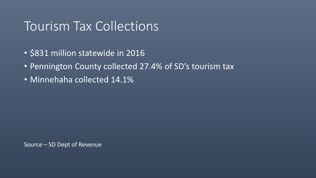#### Tourism Tax Collections

- \$831 million statewide in 2016
- Pennington County collected 27.4% of SD's tourism tax
- Minnehaha collected 14.1%

Source – SD Dept of Revenue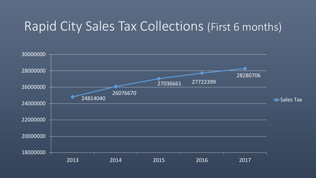#### Rapid City Sales Tax Collections (First 6 months)

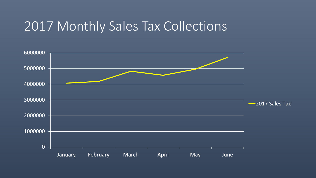#### 2017 Monthly Sales Tax Collections

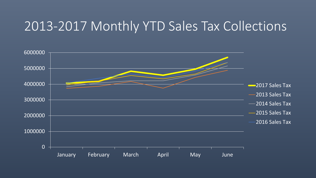#### 2013-2017 Monthly YTD Sales Tax Collections

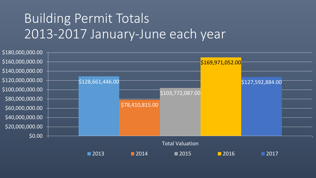# Building Permit Totals 2013-2017 January-June each year

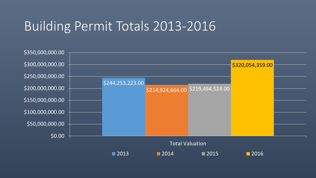## Building Permit Totals 2013-2016

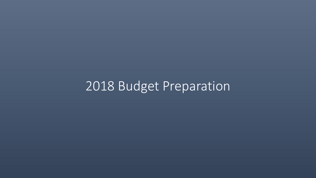# 2018 Budget Preparation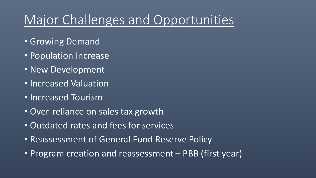# Major Challenges and Opportunities

- Growing Demand
- Population Increase
- New Development
- Increased Valuation
- Increased Tourism
- Over-reliance on sales tax growth
- Outdated rates and fees for services
- Reassessment of General Fund Reserve Policy
- Program creation and reassessment PBB (first year)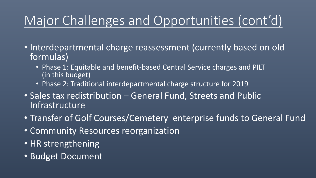# Major Challenges and Opportunities (cont'd)

- Interdepartmental charge reassessment (currently based on old formulas)
	- Phase 1: Equitable and benefit-based Central Service charges and PILT (in this budget)
	- Phase 2: Traditional interdepartmental charge structure for 2019
- Sales tax redistribution General Fund, Streets and Public Infrastructure
- Transfer of Golf Courses/Cemetery enterprise funds to General Fund
- Community Resources reorganization
- HR strengthening
- Budget Document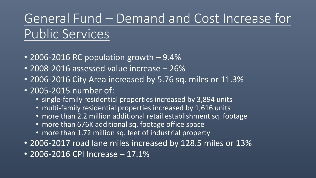# General Fund – Demand and Cost Increase for Public Services

- 2006-2016 RC population growth 9.4%
- 2008-2016 assessed value increase 26%
- 2006-2016 City Area increased by 5.76 sq. miles or 11.3%
- 2005-2015 number of:
	- single-family residential properties increased by 3,894 units
	- multi-family residential properties increased by 1,616 units
	- more than 2.2 million additional retail establishment sq. footage
	- more than 676K additional sq. footage office space
	- more than 1.72 million sq. feet of industrial property
- 2006-2017 road lane miles increased by 128.5 miles or 13%
- 2006-2016 CPI Increase 17.1%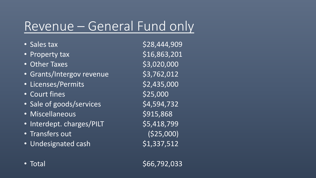## Revenue – General Fund only

- 
- Property  $\text{tax}$   $\text{516,863,201}$
- Other Taxes  $$3,020,000$
- Grants/Intergov revenue 53,762,012
- Licenses/Permits \$2,435,000
- Court fines \$25,000
- Sale of goods/services \$4,594,732
- Miscellaneous \$915,868
- Interdept. charges/PILT \$5,418,799
- Transfers out (\$25,000)
- Undesignated cash  $$1,337,512$

• Sales tax  $$28,444,909$ 

• Total  $\sim$  566,792,033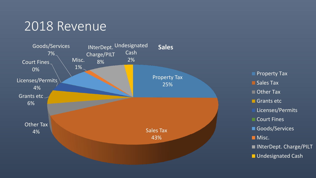#### 2018 Revenue

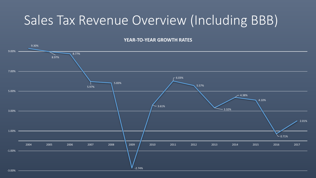## Sales Tax Revenue Overview (Including BBB)

#### **YEAR-TO-YEAR GROWTH RATES**

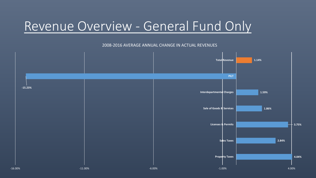#### Revenue Overview - General Fund Only

#### 2008-2016 AVERAGE ANNUAL CHANGE IN ACTUAL REVENUES

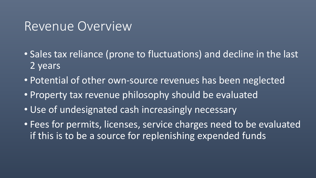#### Revenue Overview

- Sales tax reliance (prone to fluctuations) and decline in the last 2 years
- Potential of other own-source revenues has been neglected
- Property tax revenue philosophy should be evaluated
- Use of undesignated cash increasingly necessary
- Fees for permits, licenses, service charges need to be evaluated if this is to be a source for replenishing expended funds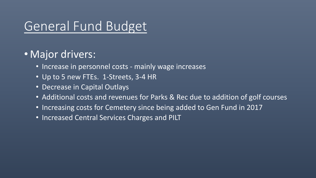## General Fund Budget

#### • Major drivers:

- Increase in personnel costs mainly wage increases
- Up to 5 new FTEs. 1-Streets, 3-4 HR
- Decrease in Capital Outlays
- Additional costs and revenues for Parks & Rec due to addition of golf courses
- Increasing costs for Cemetery since being added to Gen Fund in 2017
- Increased Central Services Charges and PILT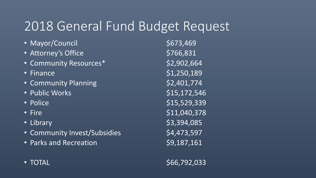## 2018 General Fund Budget Request

- Mayor/Council **673,469**
- Attorney's Office \$766,831
- Community Resources\* 52,902,664
- 
- Community Planning **62,401,774**
- Public Works \$15,172,546
- 
- 
- 
- Community Invest/Subsidies \$4,473,597
- Parks and Recreation **69,187,161**

• Finance  $$1,250,189$ • Police  $$15,529,339$ • Fire  $$11,040,378$ • Library  $$3,394,085$ 

• TOTAL  $$66,792,033$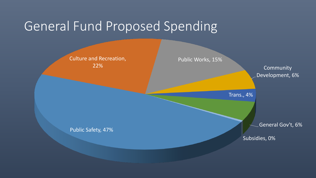#### General Fund Proposed Spending

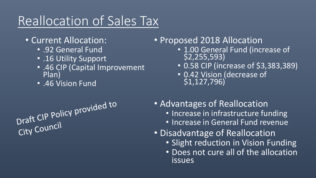# Reallocation of Sales Tax

- Current Allocation:
	- .92 General Fund
	- .16 Utility Support
	- .46 CIP (Capital Improvement Plan)
	- .46 Vision Fund

- Proposed 2018 Allocation
	- 1.00 General Fund (increase of \$2,255,593)
	- 0.58 CIP (increase of \$3,383,389)
	- 0.42 Vision (decrease of \$1,127,796)
- Advantages of Reallocation
	- Increase in infrastructure funding
	- Increase in General Fund revenue
- Disadvantage of Reallocation
	- Slight reduction in Vision Funding
	- Does not cure all of the allocation issues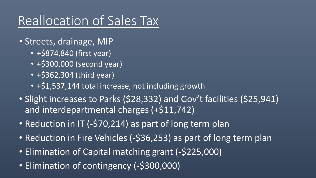# Reallocation of Sales Tax

- Streets, drainage, MIP
	- +\$874,840 (first year)
	- +\$300,000 (second year)
	- +\$362,304 (third year)
	- +\$1,537,144 total increase, not including growth
- Slight increases to Parks (\$28,332) and Gov't facilities (\$25,941) and interdepartmental charges (+\$11,742)
- Reduction in IT (-\$70,214) as part of long term plan
- Reduction in Fire Vehicles (-\$36,253) as part of long term plan
- Elimination of Capital matching grant (-\$225,000)
- Elimination of contingency (-\$300,000)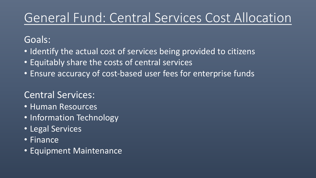# General Fund: Central Services Cost Allocation

#### Goals:

- Identify the actual cost of services being provided to citizens
- Equitably share the costs of central services
- Ensure accuracy of cost-based user fees for enterprise funds

#### Central Services:

- Human Resources
- Information Technology
- Legal Services
- Finance
- Equipment Maintenance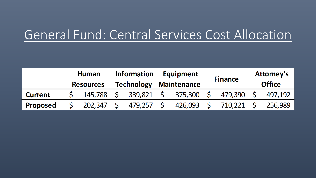## General Fund: Central Services Cost Allocation

|                 | <b>Human</b><br><b>Resources</b> |         | <b>Information</b><br><b>Technology</b> |         | <b>Equipment</b><br><b>Maintenance</b> |         | <b>Finance</b> |         | Attorney's<br><b>Office</b> |         |
|-----------------|----------------------------------|---------|-----------------------------------------|---------|----------------------------------------|---------|----------------|---------|-----------------------------|---------|
| <b>Current</b>  |                                  | 145,788 |                                         | 339,821 | <b>S</b>                               | 375,300 |                | 479,390 |                             | 497,192 |
| <b>Proposed</b> |                                  | 202,347 |                                         | 479,257 | <b>S</b>                               | 426,093 | $\varsigma$    | 710,221 |                             | 256,989 |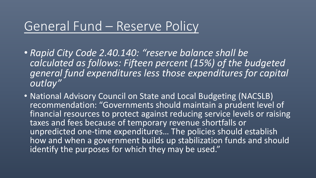#### General Fund – Reserve Policy

- *Rapid City Code 2.40.140: "reserve balance shall be calculated as follows: Fifteen percent (15%) of the budgeted general fund expenditures less those expenditures for capital outlay"*
- National Advisory Council on State and Local Budgeting (NACSLB) recommendation: "Governments should maintain a prudent level of financial resources to protect against reducing service levels or raising taxes and fees because of temporary revenue shortfalls or unpredicted one-time expenditures… The policies should establish how and when a government builds up stabilization funds and should identify the purposes for which they may be used."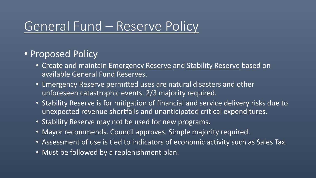#### General Fund – Reserve Policy

#### • Proposed Policy

- Create and maintain Emergency Reserve and Stability Reserve based on available General Fund Reserves.
- Emergency Reserve permitted uses are natural disasters and other unforeseen catastrophic events. 2/3 majority required.
- Stability Reserve is for mitigation of financial and service delivery risks due to unexpected revenue shortfalls and unanticipated critical expenditures.
- Stability Reserve may not be used for new programs.
- Mayor recommends. Council approves. Simple majority required.
- Assessment of use is tied to indicators of economic activity such as Sales Tax.
- Must be followed by a replenishment plan.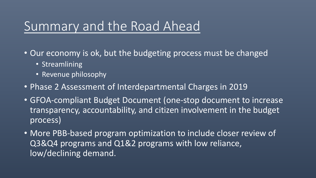#### Summary and the Road Ahead

- Our economy is ok, but the budgeting process must be changed
	- Streamlining
	- Revenue philosophy
- Phase 2 Assessment of Interdepartmental Charges in 2019
- GFOA-compliant Budget Document (one-stop document to increase transparency, accountability, and citizen involvement in the budget process)
- More PBB-based program optimization to include closer review of Q3&Q4 programs and Q1&2 programs with low reliance, low/declining demand.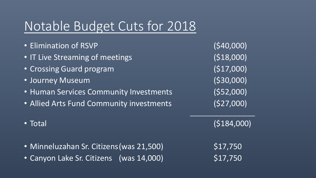# Notable Budget Cuts for 2018

- Elimination of RSVP (\$40,000)
- IT Live Streaming of meetings (\$18,000)
- Crossing Guard program (\$17,000)
- Journey Museum (\$30,000)
- Human Services Community Investments (\$52,000)
- Allied Arts Fund Community investments (\$27,000)
- 
- Minneluzahan Sr. Citizens (was 21,500) \$17,750
- Canyon Lake Sr. Citizens (was  $14,000$ )  $$17,750$

 $\overline{\phantom{a}}$  , where  $\overline{\phantom{a}}$ 

• Total (\$184,000)